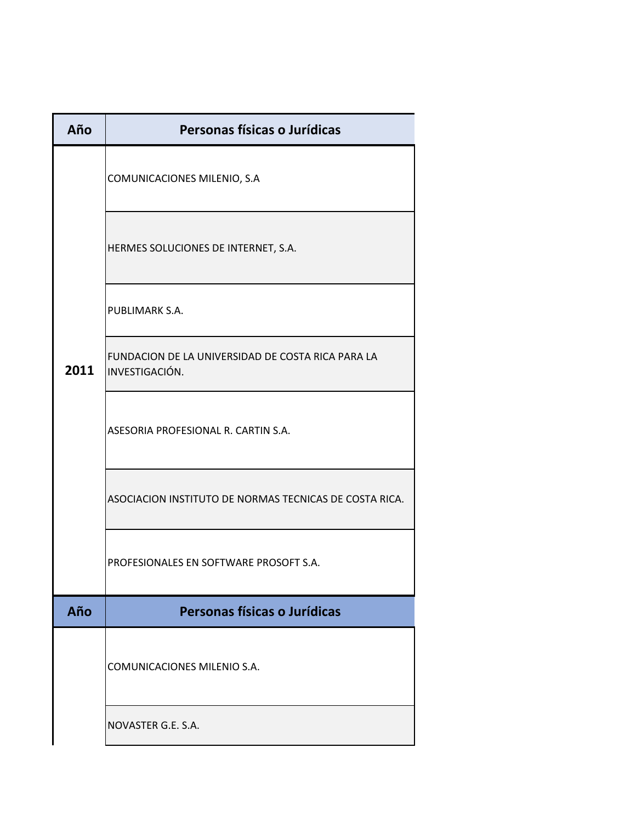| Año  | Personas físicas o Jurídicas                                        |
|------|---------------------------------------------------------------------|
|      | COMUNICACIONES MILENIO, S.A                                         |
|      | HERMES SOLUCIONES DE INTERNET, S.A.                                 |
|      | PUBLIMARK S.A.                                                      |
| 2011 | FUNDACION DE LA UNIVERSIDAD DE COSTA RICA PARA LA<br>INVESTIGACIÓN. |
|      | ASESORIA PROFESIONAL R. CARTIN S.A.                                 |
|      | ASOCIACION INSTITUTO DE NORMAS TECNICAS DE COSTA RICA.              |
|      | PROFESIONALES EN SOFTWARE PROSOFT S.A.                              |
| Año  | Personas físicas o Jurídicas                                        |
|      | COMUNICACIONES MILENIO S.A.                                         |
|      | NOVASTER G.E. S.A.                                                  |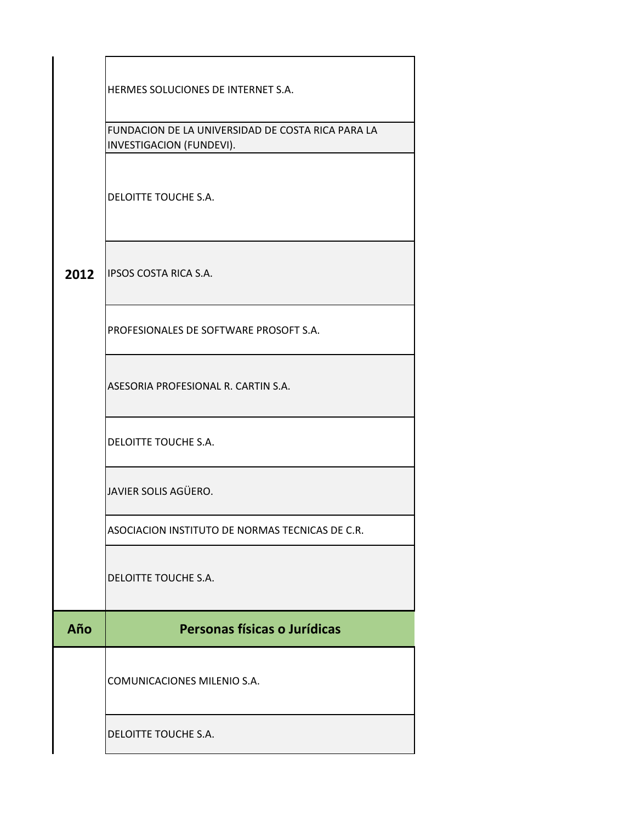| 2012 | HERMES SOLUCIONES DE INTERNET S.A.<br>FUNDACION DE LA UNIVERSIDAD DE COSTA RICA PARA LA<br>INVESTIGACION (FUNDEVI).<br>DELOITTE TOUCHE S.A.<br><b>IPSOS COSTA RICA S.A.</b> |
|------|-----------------------------------------------------------------------------------------------------------------------------------------------------------------------------|
|      | PROFESIONALES DE SOFTWARE PROSOFT S.A.<br>ASESORIA PROFESIONAL R. CARTIN S.A.                                                                                               |
|      | DELOITTE TOUCHE S.A.                                                                                                                                                        |
|      | JAVIER SOLIS AGÜERO.                                                                                                                                                        |
|      | ASOCIACION INSTITUTO DE NORMAS TECNICAS DE C.R.                                                                                                                             |
|      | DELOITTE TOUCHE S.A.                                                                                                                                                        |
| Año  | Personas físicas o Jurídicas                                                                                                                                                |
|      |                                                                                                                                                                             |
|      | COMUNICACIONES MILENIO S.A.                                                                                                                                                 |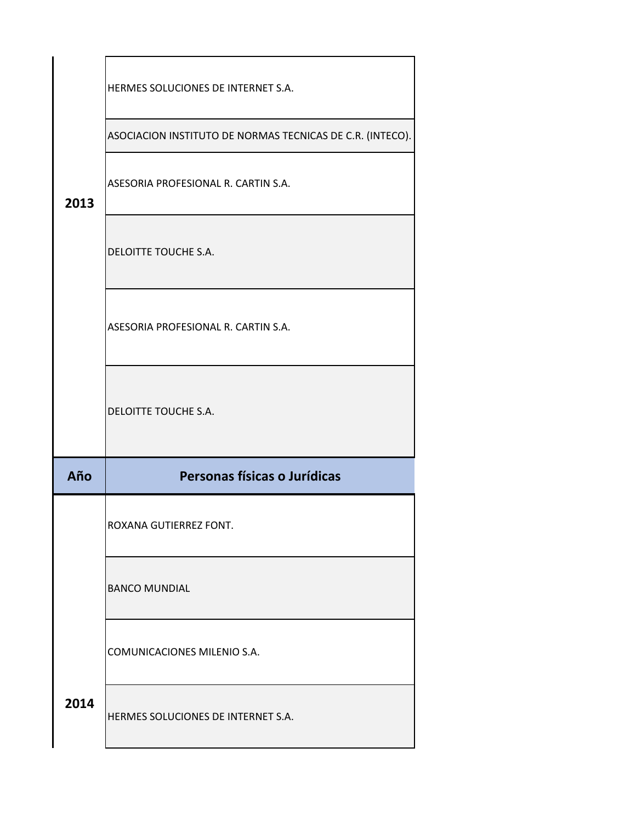|      | HERMES SOLUCIONES DE INTERNET S.A.                        |
|------|-----------------------------------------------------------|
|      | ASOCIACION INSTITUTO DE NORMAS TECNICAS DE C.R. (INTECO). |
| 2013 | ASESORIA PROFESIONAL R. CARTIN S.A.                       |
|      | DELOITTE TOUCHE S.A.                                      |
|      | ASESORIA PROFESIONAL R. CARTIN S.A.                       |
|      | DELOITTE TOUCHE S.A.                                      |
| Año  | Personas físicas o Jurídicas                              |
|      | ROXANA GUTIERREZ FONT.                                    |
|      | <b>BANCO MUNDIAL</b>                                      |
|      | COMUNICACIONES MILENIO S.A.                               |
| 2014 | HERMES SOLUCIONES DE INTERNET S.A.                        |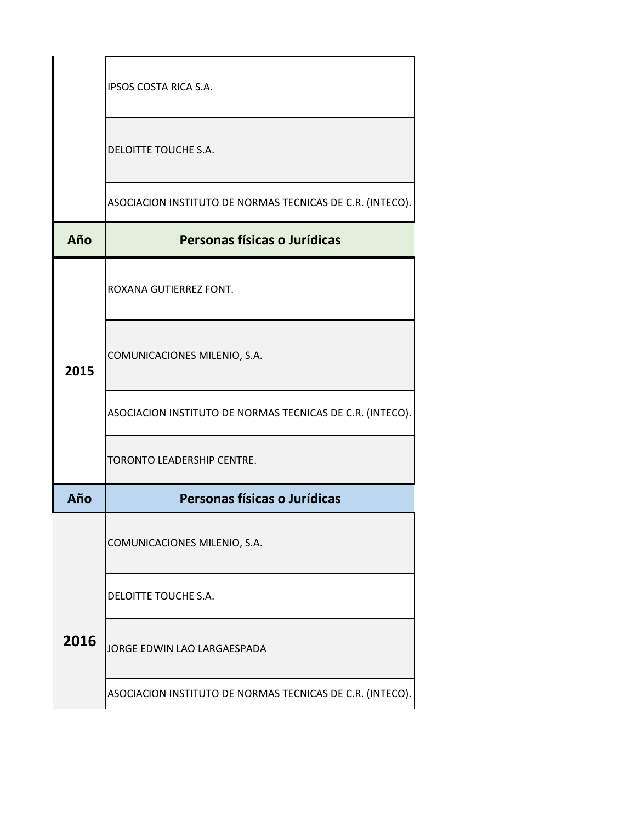|      | IPSOS COSTA RICA S.A.                                     |
|------|-----------------------------------------------------------|
|      | DELOITTE TOUCHE S.A.                                      |
|      | ASOCIACION INSTITUTO DE NORMAS TECNICAS DE C.R. (INTECO). |
| Año  | Personas físicas o Jurídicas                              |
|      | ROXANA GUTIERREZ FONT.                                    |
| 2015 | COMUNICACIONES MILENIO, S.A.                              |
|      | ASOCIACION INSTITUTO DE NORMAS TECNICAS DE C.R. (INTECO). |
|      | TORONTO LEADERSHIP CENTRE.                                |
| Año  | Personas físicas o Jurídicas                              |
|      | COMUNICACIONES MILENIO, S.A.                              |
|      | DELOITTE TOUCHE S.A.                                      |
| 2016 | JORGE EDWIN LAO LARGAESPADA                               |
|      | ASOCIACION INSTITUTO DE NORMAS TECNICAS DE C.R. (INTECO). |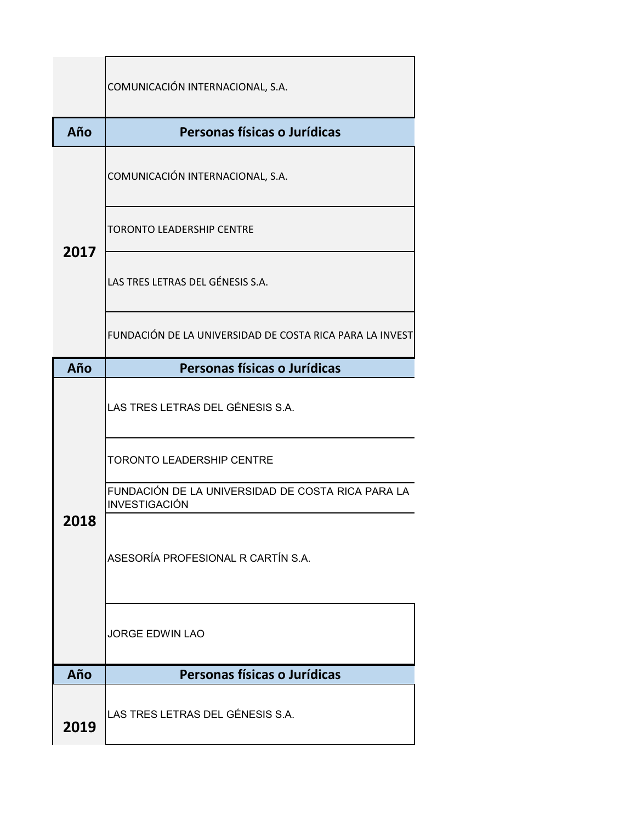|            | COMUNICACIÓN INTERNACIONAL, S.A.                                   |  |
|------------|--------------------------------------------------------------------|--|
| Año        | Personas físicas o Jurídicas                                       |  |
| 2017       | COMUNICACIÓN INTERNACIONAL, S.A.                                   |  |
|            | <b>TORONTO LEADERSHIP CENTRE</b>                                   |  |
|            | LAS TRES LETRAS DEL GÉNESIS S.A.                                   |  |
|            | FUNDACIÓN DE LA UNIVERSIDAD DE COSTA RICA PARA LA INVEST           |  |
| Año        | Personas físicas o Jurídicas                                       |  |
|            | LAS TRES LETRAS DEL GÉNESIS S.A.                                   |  |
|            | <b>TORONTO LEADERSHIP CENTRE</b>                                   |  |
|            | FUNDACIÓN DE LA UNIVERSIDAD DE COSTA RICA PARA LA<br>INVESTIGACIÓN |  |
| <b>018</b> | ASESORÍA PROFESIONAL R CARTÍN S.A.                                 |  |
|            | <b>JORGE EDWIN LAO</b>                                             |  |
|            | Personas físicas o Jurídicas                                       |  |
| Año        |                                                                    |  |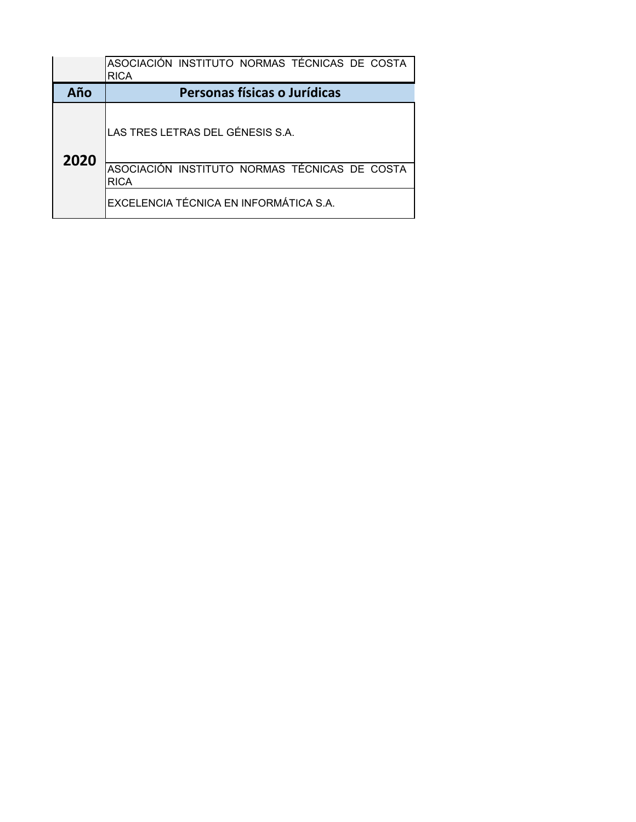|      | ASOCIACIÓN INSTITUTO NORMAS TÉCNICAS DE COSTA<br><b>RICA</b> |
|------|--------------------------------------------------------------|
| Año  | Personas físicas o Jurídicas                                 |
| 2020 | LAS TRES LETRAS DEL GÉNESIS S.A.                             |
|      | ASOCIACIÓN INSTITUTO NORMAS TÉCNICAS DE COSTA<br><b>RICA</b> |
|      | EXCELENCIA TÉCNICA EN INFORMÁTICA S.A.                       |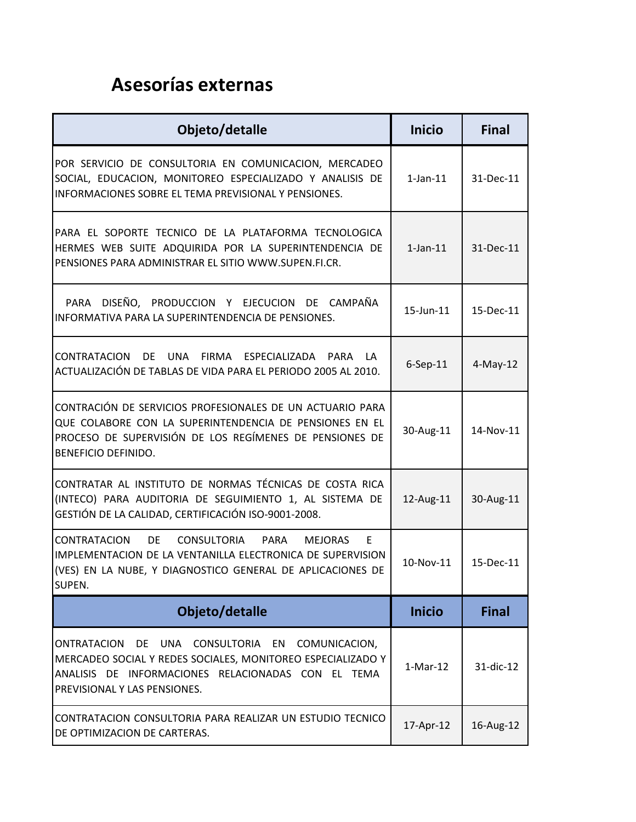## **Asesorías externas**

| Objeto/detalle                                                                                                                                                                                                             | <b>Inicio</b>  | <b>Final</b> |
|----------------------------------------------------------------------------------------------------------------------------------------------------------------------------------------------------------------------------|----------------|--------------|
| POR SERVICIO DE CONSULTORIA EN COMUNICACION, MERCADEO<br>SOCIAL, EDUCACION, MONITOREO ESPECIALIZADO Y ANALISIS DE<br>INFORMACIONES SOBRE EL TEMA PREVISIONAL Y PENSIONES.                                                  | $1$ -Jan- $11$ | 31-Dec-11    |
| PARA EL SOPORTE TECNICO DE LA PLATAFORMA TECNOLOGICA<br>HERMES WEB SUITE ADQUIRIDA POR LA SUPERINTENDENCIA DE<br>PENSIONES PARA ADMINISTRAR EL SITIO WWW.SUPEN.FI.CR.                                                      | $1$ -Jan- $11$ | 31-Dec-11    |
| DISEÑO, PRODUCCION Y EJECUCION DE CAMPAÑA<br>PARA<br>INFORMATIVA PARA LA SUPERINTENDENCIA DE PENSIONES.                                                                                                                    | 15-Jun-11      | 15-Dec-11    |
| CONTRATACION<br>DE UNA FIRMA ESPECIALIZADA PARA LA<br>ACTUALIZACIÓN DE TABLAS DE VIDA PARA EL PERIODO 2005 AL 2010.                                                                                                        | $6-$ Sep $-11$ | $4$ -May-12  |
| CONTRACIÓN DE SERVICIOS PROFESIONALES DE UN ACTUARIO PARA<br>QUE COLABORE CON LA SUPERINTENDENCIA DE PENSIONES EN EL<br>PROCESO DE SUPERVISIÓN DE LOS REGÍMENES DE PENSIONES DE<br><b>BENEFICIO DEFINIDO.</b>              | 30-Aug-11      | 14-Nov-11    |
| CONTRATAR AL INSTITUTO DE NORMAS TÉCNICAS DE COSTA RICA<br>(INTECO) PARA AUDITORIA DE SEGUIMIENTO 1, AL SISTEMA DE<br>GESTIÓN DE LA CALIDAD, CERTIFICACIÓN ISO-9001-2008.                                                  | 12-Aug-11      | 30-Aug-11    |
| <b>CONTRATACION</b><br>DE<br><b>CONSULTORIA</b><br>PARA<br><b>MEJORAS</b><br>E<br>IMPLEMENTACION DE LA VENTANILLA ELECTRONICA DE SUPERVISION<br>(VES) EN LA NUBE, Y DIAGNOSTICO GENERAL DE APLICACIONES DE<br>SUPEN.       | 10-Nov-11      | 15-Dec-11    |
| Objeto/detalle                                                                                                                                                                                                             | <b>Inicio</b>  | <b>Final</b> |
| ONTRATACION<br>DE<br>UNA<br><b>CONSULTORIA</b><br>EN<br>COMUNICACION,<br>MERCADEO SOCIAL Y REDES SOCIALES, MONITOREO ESPECIALIZADO Y<br>ANALISIS DE INFORMACIONES RELACIONADAS CON EL TEMA<br>PREVISIONAL Y LAS PENSIONES. | $1-Mar-12$     | 31-dic-12    |
| CONTRATACION CONSULTORIA PARA REALIZAR UN ESTUDIO TECNICO<br>DE OPTIMIZACION DE CARTERAS.                                                                                                                                  | 17-Apr-12      | 16-Aug-12    |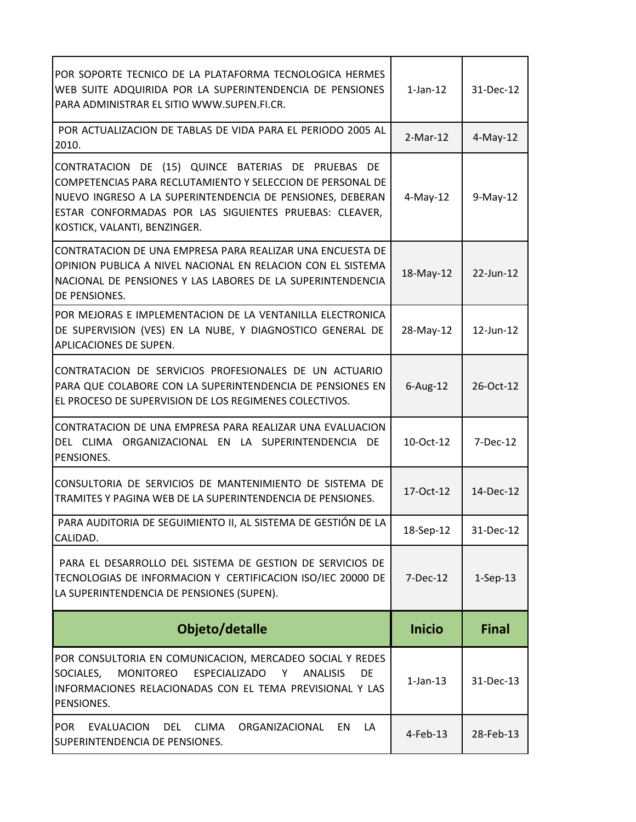| POR SOPORTE TECNICO DE LA PLATAFORMA TECNOLOGICA HERMES<br>WEB SUITE ADQUIRIDA POR LA SUPERINTENDENCIA DE PENSIONES<br>PARA ADMINISTRAR EL SITIO WWW.SUPEN.FI.CR.                                                                                                       | $1$ -Jan- $12$ | 31-Dec-12    |
|-------------------------------------------------------------------------------------------------------------------------------------------------------------------------------------------------------------------------------------------------------------------------|----------------|--------------|
| POR ACTUALIZACION DE TABLAS DE VIDA PARA EL PERIODO 2005 AL<br>2010.                                                                                                                                                                                                    | $2-Mar-12$     | $4$ -May-12  |
| CONTRATACION DE (15) QUINCE BATERIAS DE PRUEBAS DE<br>COMPETENCIAS PARA RECLUTAMIENTO Y SELECCION DE PERSONAL DE<br>NUEVO INGRESO A LA SUPERINTENDENCIA DE PENSIONES, DEBERAN<br>ESTAR CONFORMADAS POR LAS SIGUIENTES PRUEBAS: CLEAVER,<br>KOSTICK, VALANTI, BENZINGER. | $4-May-12$     | $9-May-12$   |
| CONTRATACION DE UNA EMPRESA PARA REALIZAR UNA ENCUESTA DE<br>OPINION PUBLICA A NIVEL NACIONAL EN RELACION CON EL SISTEMA<br>NACIONAL DE PENSIONES Y LAS LABORES DE LA SUPERINTENDENCIA<br>DE PENSIONES.                                                                 | 18-May-12      | 22-Jun-12    |
| POR MEJORAS E IMPLEMENTACION DE LA VENTANILLA ELECTRONICA<br>DE SUPERVISION (VES) EN LA NUBE, Y DIAGNOSTICO GENERAL DE<br>APLICACIONES DE SUPEN.                                                                                                                        | 28-May-12      | 12-Jun-12    |
| CONTRATACION DE SERVICIOS PROFESIONALES DE UN ACTUARIO<br>PARA QUE COLABORE CON LA SUPERINTENDENCIA DE PENSIONES EN<br>EL PROCESO DE SUPERVISION DE LOS REGIMENES COLECTIVOS.                                                                                           | $6$ -Aug-12    | 26-Oct-12    |
| CONTRATACION DE UNA EMPRESA PARA REALIZAR UNA EVALUACION<br>DEL CLIMA ORGANIZACIONAL EN LA SUPERINTENDENCIA DE<br>PENSIONES.                                                                                                                                            | 10-Oct-12      | 7-Dec-12     |
| CONSULTORIA DE SERVICIOS DE MANTENIMIENTO DE SISTEMA DE<br>TRAMITES Y PAGINA WEB DE LA SUPERINTENDENCIA DE PENSIONES.                                                                                                                                                   | 17-Oct-12      | 14-Dec-12    |
| PARA AUDITORIA DE SEGUIMIENTO II, AL SISTEMA DE GESTIÓN DE LA<br>CALIDAD.                                                                                                                                                                                               | 18-Sep-12      | 31-Dec-12    |
| PARA EL DESARROLLO DEL SISTEMA DE GESTION DE SERVICIOS DE<br>TECNOLOGIAS DE INFORMACION Y CERTIFICACION ISO/IEC 20000 DE<br>LA SUPERINTENDENCIA DE PENSIONES (SUPEN).                                                                                                   | 7-Dec-12       | $1-Sep-13$   |
| Objeto/detalle                                                                                                                                                                                                                                                          | <b>Inicio</b>  | <b>Final</b> |
| POR CONSULTORIA EN COMUNICACION, MERCADEO SOCIAL Y REDES<br>SOCIALES,<br>MONITOREO<br>ESPECIALIZADO<br>Y<br><b>ANALISIS</b><br><b>DE</b><br>INFORMACIONES RELACIONADAS CON EL TEMA PREVISIONAL Y LAS<br>PENSIONES.                                                      | $1$ -Jan- $13$ | 31-Dec-13    |
| <b>POR</b><br><b>EVALUACION</b><br>DEL<br><b>CLIMA</b><br>ORGANIZACIONAL<br>EN<br>LA<br>SUPERINTENDENCIA DE PENSIONES.                                                                                                                                                  | 4-Feb-13       | 28-Feb-13    |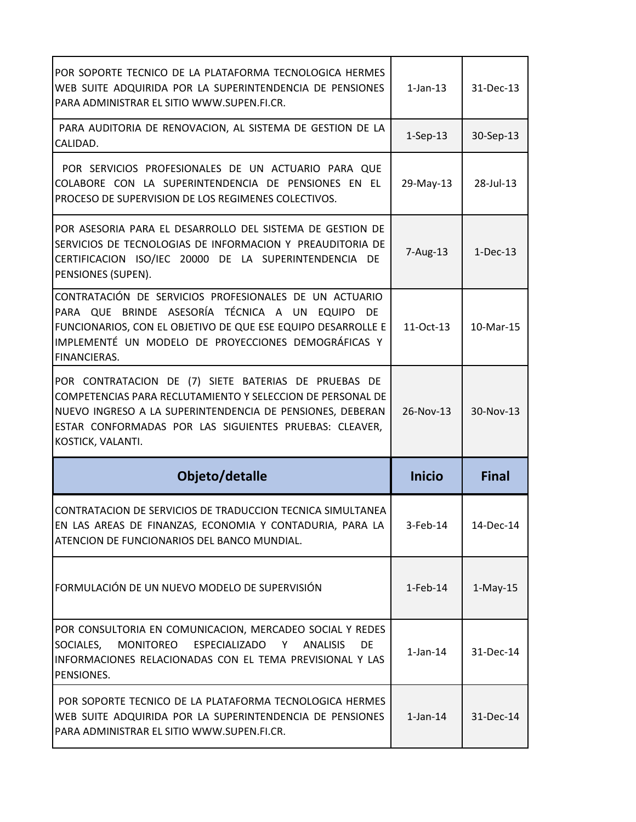| POR SOPORTE TECNICO DE LA PLATAFORMA TECNOLOGICA HERMES<br>WEB SUITE ADQUIRIDA POR LA SUPERINTENDENCIA DE PENSIONES<br>PARA ADMINISTRAR EL SITIO WWW.SUPEN.FI.CR.                                                                                | $1$ -Jan- $13$ | 31-Dec-13    |
|--------------------------------------------------------------------------------------------------------------------------------------------------------------------------------------------------------------------------------------------------|----------------|--------------|
| PARA AUDITORIA DE RENOVACION, AL SISTEMA DE GESTION DE LA<br>CALIDAD.                                                                                                                                                                            | $1-Sep-13$     | 30-Sep-13    |
| POR SERVICIOS PROFESIONALES DE UN ACTUARIO PARA QUE<br>COLABORE CON LA SUPERINTENDENCIA DE PENSIONES EN EL<br>PROCESO DE SUPERVISION DE LOS REGIMENES COLECTIVOS.                                                                                | 29-May-13      | 28-Jul-13    |
| POR ASESORIA PARA EL DESARROLLO DEL SISTEMA DE GESTION DE<br>SERVICIOS DE TECNOLOGIAS DE INFORMACION Y PREAUDITORIA DE<br>CERTIFICACION ISO/IEC 20000 DE LA SUPERINTENDENCIA DE<br>PENSIONES (SUPEN).                                            | 7-Aug-13       | $1-Dec-13$   |
| CONTRATACIÓN DE SERVICIOS PROFESIONALES DE UN ACTUARIO<br>PARA QUE BRINDE ASESORÍA TÉCNICA A UN EQUIPO DE<br>FUNCIONARIOS, CON EL OBJETIVO DE QUE ESE EQUIPO DESARROLLE E<br>IMPLEMENTÉ UN MODELO DE PROYECCIONES DEMOGRÁFICAS Y<br>FINANCIERAS. | 11-Oct-13      | 10-Mar-15    |
| POR CONTRATACION DE (7) SIETE BATERIAS DE PRUEBAS DE<br>COMPETENCIAS PARA RECLUTAMIENTO Y SELECCION DE PERSONAL DE<br>NUEVO INGRESO A LA SUPERINTENDENCIA DE PENSIONES, DEBERAN<br>ESTAR CONFORMADAS POR LAS SIGUIENTES PRUEBAS: CLEAVER,        | 26-Nov-13      | 30-Nov-13    |
| KOSTICK, VALANTI.                                                                                                                                                                                                                                |                |              |
| Objeto/detalle                                                                                                                                                                                                                                   | <b>Inicio</b>  | <b>Final</b> |
| CONTRATACION DE SERVICIOS DE TRADUCCION TECNICA SIMULTANEA<br>EN LAS AREAS DE FINANZAS, ECONOMIA Y CONTADURIA, PARA LA<br>ATENCION DE FUNCIONARIOS DEL BANCO MUNDIAL.                                                                            | $3-Feb-14$     | 14-Dec-14    |
| FORMULACIÓN DE UN NUEVO MODELO DE SUPERVISIÓN                                                                                                                                                                                                    | $1-Feb-14$     | $1-May-15$   |
| POR CONSULTORIA EN COMUNICACION, MERCADEO SOCIAL Y REDES<br>MONITOREO ESPECIALIZADO<br>SOCIALES,<br>Y.<br><b>ANALISIS</b><br><b>DE</b><br>INFORMACIONES RELACIONADAS CON EL TEMA PREVISIONAL Y LAS<br>PENSIONES.                                 | $1$ -Jan- $14$ | 31-Dec-14    |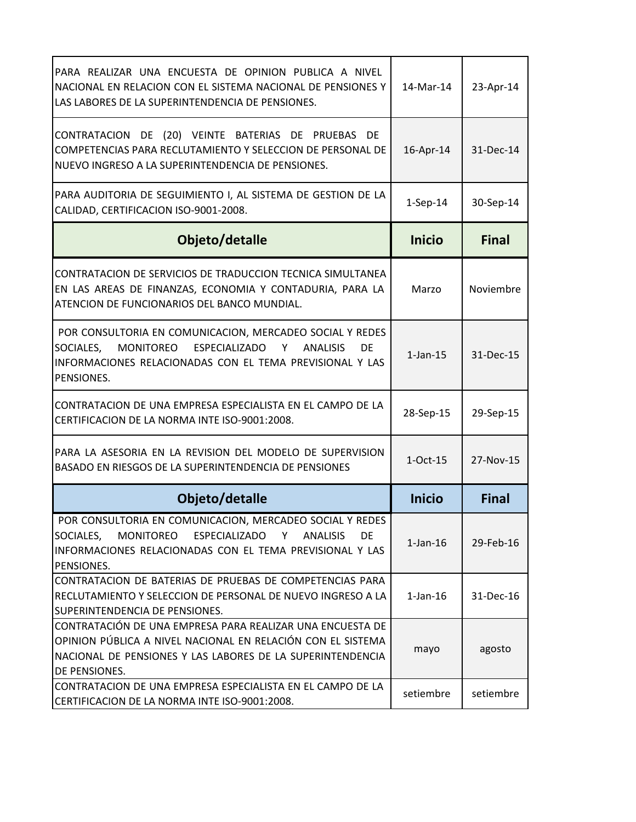| PARA REALIZAR UNA ENCUESTA DE OPINION PUBLICA A NIVEL<br>NACIONAL EN RELACION CON EL SISTEMA NACIONAL DE PENSIONES Y<br>LAS LABORES DE LA SUPERINTENDENCIA DE PENSIONES.                                | 14-Mar-14      | 23-Apr-14    |
|---------------------------------------------------------------------------------------------------------------------------------------------------------------------------------------------------------|----------------|--------------|
| CONTRATACION DE (20) VEINTE BATERIAS DE PRUEBAS DE<br>COMPETENCIAS PARA RECLUTAMIENTO Y SELECCION DE PERSONAL DE<br>NUEVO INGRESO A LA SUPERINTENDENCIA DE PENSIONES.                                   | 16-Apr-14      | 31-Dec-14    |
| PARA AUDITORIA DE SEGUIMIENTO I, AL SISTEMA DE GESTION DE LA<br>CALIDAD, CERTIFICACION ISO-9001-2008.                                                                                                   | $1-Sep-14$     | 30-Sep-14    |
| Objeto/detalle                                                                                                                                                                                          | <b>Inicio</b>  | <b>Final</b> |
| CONTRATACION DE SERVICIOS DE TRADUCCION TECNICA SIMULTANEA<br>EN LAS AREAS DE FINANZAS, ECONOMIA Y CONTADURIA, PARA LA<br>ATENCION DE FUNCIONARIOS DEL BANCO MUNDIAL.                                   | Marzo          | Noviembre    |
| POR CONSULTORIA EN COMUNICACION, MERCADEO SOCIAL Y REDES<br>SOCIALES, MONITOREO ESPECIALIZADO Y<br>DE<br><b>ANALISIS</b><br>INFORMACIONES RELACIONADAS CON EL TEMA PREVISIONAL Y LAS<br>PENSIONES.      | $1-Jan-15$     | 31-Dec-15    |
| CONTRATACION DE UNA EMPRESA ESPECIALISTA EN EL CAMPO DE LA<br>CERTIFICACION DE LA NORMA INTE ISO-9001:2008.                                                                                             | 28-Sep-15      | 29-Sep-15    |
| PARA LA ASESORIA EN LA REVISION DEL MODELO DE SUPERVISION<br>BASADO EN RIESGOS DE LA SUPERINTENDENCIA DE PENSIONES                                                                                      | $1-Oct-15$     | 27-Nov-15    |
| Objeto/detalle                                                                                                                                                                                          | <b>Inicio</b>  | <b>Final</b> |
| POR CONSULTORIA EN COMUNICACION, MERCADEO SOCIAL Y REDES<br>SOCIALES, MONITOREO ESPECIALIZADO Y ANALISIS<br>DE<br>INFORMACIONES RELACIONADAS CON EL TEMA PREVISIONAL Y LAS<br>PENSIONES.                | $1$ -Jan- $16$ | 29-Feb-16    |
| CONTRATACION DE BATERIAS DE PRUEBAS DE COMPETENCIAS PARA<br>RECLUTAMIENTO Y SELECCION DE PERSONAL DE NUEVO INGRESO A LA<br>SUPERINTENDENCIA DE PENSIONES.                                               | $1$ -Jan- $16$ | 31-Dec-16    |
| CONTRATACIÓN DE UNA EMPRESA PARA REALIZAR UNA ENCUESTA DE<br>OPINION PÚBLICA A NIVEL NACIONAL EN RELACIÓN CON EL SISTEMA<br>NACIONAL DE PENSIONES Y LAS LABORES DE LA SUPERINTENDENCIA<br>DE PENSIONES. | mayo           | agosto       |
| CONTRATACION DE UNA EMPRESA ESPECIALISTA EN EL CAMPO DE LA<br>CERTIFICACION DE LA NORMA INTE ISO-9001:2008.                                                                                             | setiembre      | setiembre    |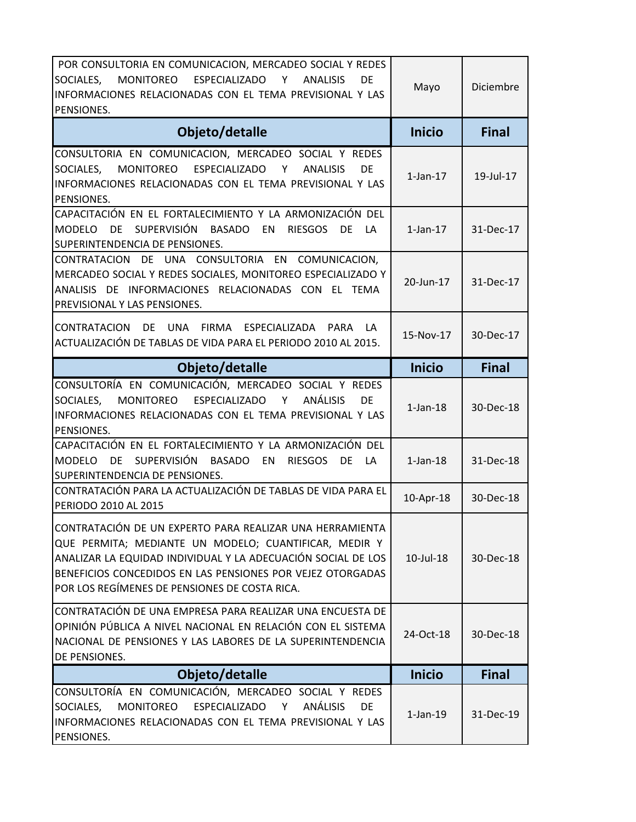| POR CONSULTORIA EN COMUNICACION, MERCADEO SOCIAL Y REDES<br>SOCIALES,<br>MONITOREO<br>ESPECIALIZADO Y<br><b>ANALISIS</b><br>DE<br>INFORMACIONES RELACIONADAS CON EL TEMA PREVISIONAL Y LAS<br>PENSIONES.                                                                                         | Mayo           | Diciembre    |
|--------------------------------------------------------------------------------------------------------------------------------------------------------------------------------------------------------------------------------------------------------------------------------------------------|----------------|--------------|
| Objeto/detalle                                                                                                                                                                                                                                                                                   | <b>Inicio</b>  | <b>Final</b> |
| CONSULTORIA EN COMUNICACION, MERCADEO SOCIAL Y REDES<br>ESPECIALIZADO<br>SOCIALES,<br><b>MONITOREO</b><br><b>ANALISIS</b><br>Y<br>DE<br>INFORMACIONES RELACIONADAS CON EL TEMA PREVISIONAL Y LAS<br>PENSIONES.                                                                                   | $1$ -Jan- $17$ | 19-Jul-17    |
| CAPACITACIÓN EN EL FORTALECIMIENTO Y LA ARMONIZACIÓN DEL<br>SUPERVISIÓN BASADO EN<br><b>DE</b><br><b>MODELO</b><br><b>RIESGOS</b><br>DE<br>LA<br>SUPERINTENDENCIA DE PENSIONES.                                                                                                                  | $1$ -Jan- $17$ | 31-Dec-17    |
| CONTRATACION DE UNA CONSULTORIA EN COMUNICACION,<br>MERCADEO SOCIAL Y REDES SOCIALES, MONITOREO ESPECIALIZADO Y<br>ANALISIS DE INFORMACIONES RELACIONADAS CON EL TEMA<br>PREVISIONAL Y LAS PENSIONES.                                                                                            | 20-Jun-17      | 31-Dec-17    |
| <b>UNA</b><br>FIRMA ESPECIALIZADA<br>CONTRATACION<br>DE<br><b>PARA</b><br>LA.<br>ACTUALIZACIÓN DE TABLAS DE VIDA PARA EL PERIODO 2010 AL 2015.                                                                                                                                                   | 15-Nov-17      | 30-Dec-17    |
| Objeto/detalle                                                                                                                                                                                                                                                                                   | <b>Inicio</b>  | <b>Final</b> |
| CONSULTORÍA EN COMUNICACIÓN, MERCADEO SOCIAL Y REDES<br>ANÁLISIS<br>ESPECIALIZADO<br>SOCIALES,<br><b>MONITOREO</b><br>Y<br>DE<br>INFORMACIONES RELACIONADAS CON EL TEMA PREVISIONAL Y LAS<br>PENSIONES.                                                                                          | $1$ -Jan- $18$ | 30-Dec-18    |
| CAPACITACIÓN EN EL FORTALECIMIENTO Y LA ARMONIZACIÓN DEL<br><b>SUPERVISIÓN</b><br>DE<br><b>BASADO</b><br><b>RIESGOS</b><br><b>MODELO</b><br>EN<br>DE<br>LA<br>SUPERINTENDENCIA DE PENSIONES.                                                                                                     | $1$ -Jan- $18$ | 31-Dec-18    |
| CONTRATACIÓN PARA LA ACTUALIZACIÓN DE TABLAS DE VIDA PARA EL<br>PERIODO 2010 AL 2015                                                                                                                                                                                                             | 10-Apr-18      | 30-Dec-18    |
| CONTRATACIÓN DE UN EXPERTO PARA REALIZAR UNA HERRAMIENTA<br>QUE PERMITA; MEDIANTE UN MODELO; CUANTIFICAR, MEDIR Y<br>ANALIZAR LA EQUIDAD INDIVIDUAL Y LA ADECUACIÓN SOCIAL DE LOS<br>BENEFICIOS CONCEDIDOS EN LAS PENSIONES POR VEJEZ OTORGADAS<br>POR LOS REGÍMENES DE PENSIONES DE COSTA RICA. | 10-Jul-18      | 30-Dec-18    |
| CONTRATACIÓN DE UNA EMPRESA PARA REALIZAR UNA ENCUESTA DE<br>OPINIÓN PÚBLICA A NIVEL NACIONAL EN RELACIÓN CON EL SISTEMA<br>NACIONAL DE PENSIONES Y LAS LABORES DE LA SUPERINTENDENCIA<br>DE PENSIONES.                                                                                          | 24-Oct-18      | 30-Dec-18    |
| Objeto/detalle                                                                                                                                                                                                                                                                                   | <b>Inicio</b>  | <b>Final</b> |
| CONSULTORÍA EN COMUNICACIÓN, MERCADEO SOCIAL Y REDES<br>ANÁLISIS<br>SOCIALES,<br>MONITOREO<br>ESPECIALIZADO Y<br><b>DE</b><br>INFORMACIONES RELACIONADAS CON EL TEMA PREVISIONAL Y LAS<br>PENSIONES.                                                                                             | $1-Jan-19$     | 31-Dec-19    |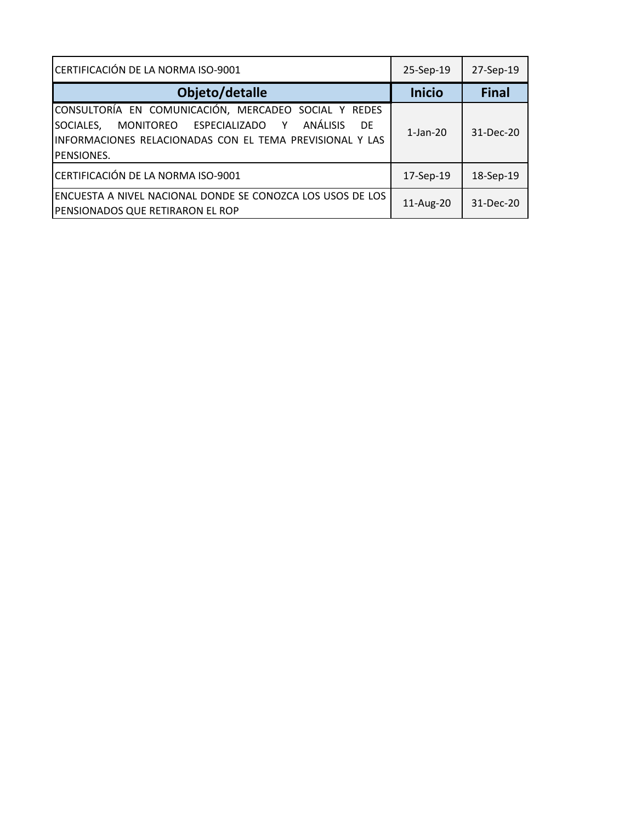| CERTIFICACIÓN DE LA NORMA ISO-9001                                                                                                                                                                              | 25-Sep-19      | 27-Sep-19    |
|-----------------------------------------------------------------------------------------------------------------------------------------------------------------------------------------------------------------|----------------|--------------|
| Objeto/detalle                                                                                                                                                                                                  | <b>Inicio</b>  | <b>Final</b> |
| CONSULTORÍA EN COMUNICACIÓN, MERCADEO SOCIAL Y REDES<br><b>ANÁLISIS</b><br>SOCIALES,<br>MONITOREO ESPECIALIZADO Y<br><b>DF</b><br>INFORMACIONES RELACIONADAS CON EL TEMA PREVISIONAL Y LAS<br><b>PENSIONES.</b> | $1$ -Jan- $20$ | 31-Dec-20    |
| CERTIFICACIÓN DE LA NORMA ISO-9001                                                                                                                                                                              | 17-Sep-19      | 18-Sep-19    |
| ENCUESTA A NIVEL NACIONAL DONDE SE CONOZCA LOS USOS DE LOS<br><b>PENSIONADOS QUE RETIRARON EL ROP</b>                                                                                                           | 11-Aug-20      | 31-Dec-20    |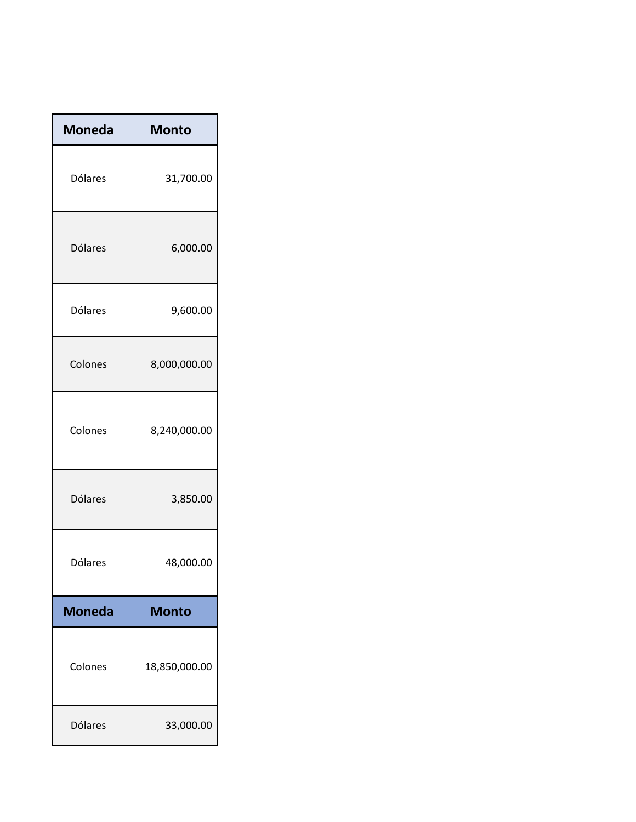| <b>Moneda</b>  | <b>Monto</b>  |
|----------------|---------------|
| <b>Dólares</b> | 31,700.00     |
| <b>Dólares</b> | 6,000.00      |
| Dólares        | 9,600.00      |
| Colones        | 8,000,000.00  |
| Colones        | 8,240,000.00  |
| <b>Dólares</b> | 3,850.00      |
| Dólares        | 48,000.00     |
| <b>Moneda</b>  | <b>Monto</b>  |
| Colones        | 18,850,000.00 |
| <b>Dólares</b> | 33,000.00     |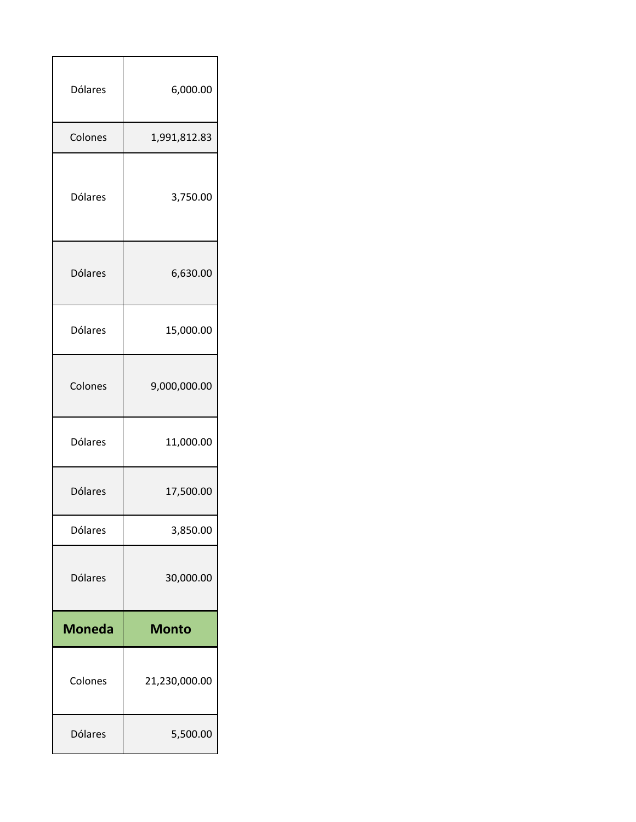| <b>Dólares</b> | 6,000.00      |
|----------------|---------------|
| Colones        | 1,991,812.83  |
| <b>Dólares</b> | 3,750.00      |
| Dólares        | 6,630.00      |
| <b>Dólares</b> | 15,000.00     |
| Colones        | 9,000,000.00  |
| <b>Dólares</b> | 11,000.00     |
|                |               |
| <b>Dólares</b> | 17,500.00     |
| <b>Dólares</b> | 3,850.00      |
| Dólares        | 30,000.00     |
| <b>Moneda</b>  | <b>Monto</b>  |
| Colones        | 21,230,000.00 |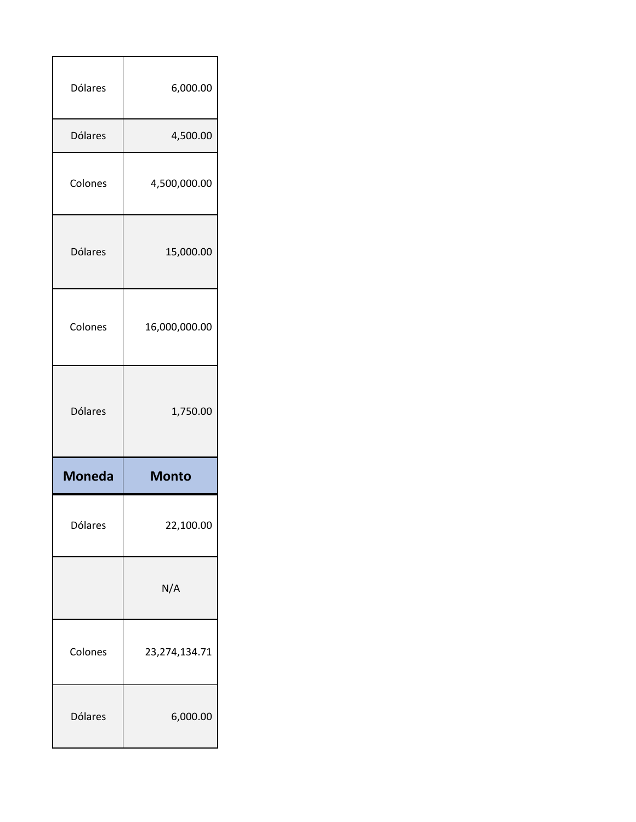| Dólares        | 6,000.00      |
|----------------|---------------|
| <b>Dólares</b> | 4,500.00      |
| Colones        | 4,500,000.00  |
| <b>Dólares</b> | 15,000.00     |
| Colones        | 16,000,000.00 |
| Dólares        |               |
|                | 1,750.00      |
| <b>Moneda</b>  | <b>Monto</b>  |
| Dólares        | 22,100.00     |
|                | N/A           |
| Colones        | 23,274,134.71 |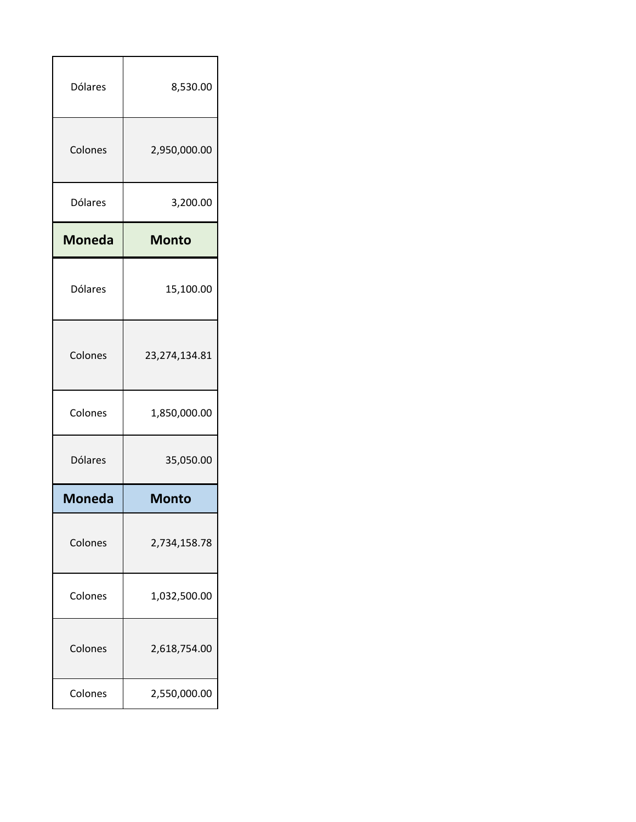| <b>Dólares</b> | 8,530.00      |
|----------------|---------------|
| Colones        | 2,950,000.00  |
| Dólares        | 3,200.00      |
| <b>Moneda</b>  | <b>Monto</b>  |
| Dólares        | 15,100.00     |
| Colones        | 23,274,134.81 |
| Colones        | 1,850,000.00  |
| <b>Dólares</b> | 35,050.00     |
| <b>Moneda</b>  | <b>Monto</b>  |
| Colones        | 2,734,158.78  |
| Colones        | 1,032,500.00  |
| Colones        | 2,618,754.00  |
| Colones        | 2,550,000.00  |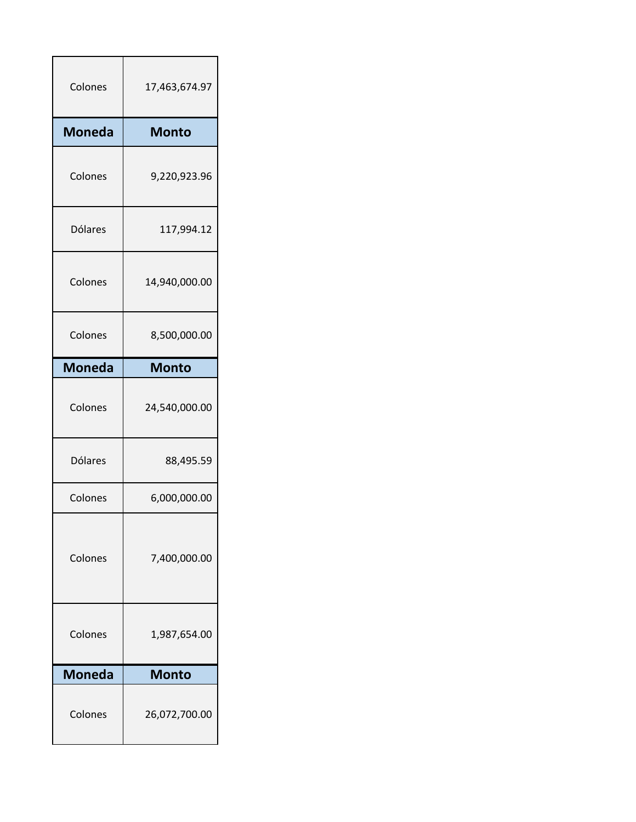| Colones        | 17,463,674.97 |
|----------------|---------------|
| <b>Moneda</b>  | <b>Monto</b>  |
| Colones        | 9,220,923.96  |
| <b>Dólares</b> | 117,994.12    |
| Colones        | 14,940,000.00 |
| Colones        | 8,500,000.00  |
| <b>Moneda</b>  | <b>Monto</b>  |
| Colones        | 24,540,000.00 |
| Dólares        | 88,495.59     |
| Colones        | 6,000,000.00  |
| Colones        | 7,400,000.00  |
| Colones        | 1,987,654.00  |
| <b>Moneda</b>  | <b>Monto</b>  |
| Colones        | 26,072,700.00 |